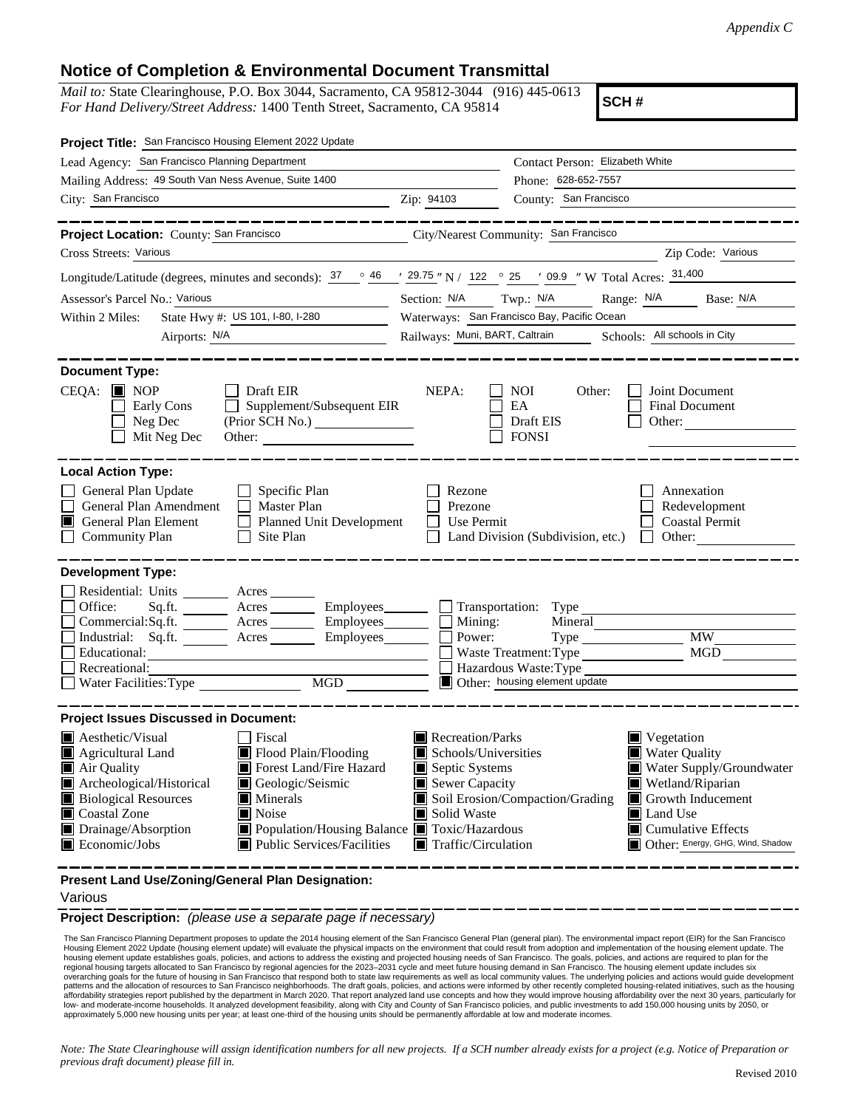## **Notice of Completion & Environmental Document Transmittal**

*Mail to:* State Clearinghouse, P.O. Box 3044, Sacramento, CA 95812-3044 (916) 445-0613 *For Hand Delivery/Street Address:* 1400 Tenth Street, Sacramento, CA 95814

**SCH #**

| Project Title: San Francisco Housing Element 2022 Update                                                                                                                                                                                                                                                                                                                                                                  |                                                                                                                                                                                                                                                                                                                                                     |  |  |
|---------------------------------------------------------------------------------------------------------------------------------------------------------------------------------------------------------------------------------------------------------------------------------------------------------------------------------------------------------------------------------------------------------------------------|-----------------------------------------------------------------------------------------------------------------------------------------------------------------------------------------------------------------------------------------------------------------------------------------------------------------------------------------------------|--|--|
| Lead Agency: San Francisco Planning Department                                                                                                                                                                                                                                                                                                                                                                            | Contact Person: Elizabeth White                                                                                                                                                                                                                                                                                                                     |  |  |
| Mailing Address: 49 South Van Ness Avenue, Suite 1400                                                                                                                                                                                                                                                                                                                                                                     | Phone: 628-652-7557                                                                                                                                                                                                                                                                                                                                 |  |  |
| City: San Francisco                                                                                                                                                                                                                                                                                                                                                                                                       | County: San Francisco<br>Zip: 94103                                                                                                                                                                                                                                                                                                                 |  |  |
| Project Location: County: San Francisco                                                                                                                                                                                                                                                                                                                                                                                   | City/Nearest Community: San Francisco                                                                                                                                                                                                                                                                                                               |  |  |
| Cross Streets: Various                                                                                                                                                                                                                                                                                                                                                                                                    | Zip Code: Various                                                                                                                                                                                                                                                                                                                                   |  |  |
| Longitude/Latitude (degrees, minutes and seconds): $\frac{37}{100}$ $\frac{46}{100}$ / $\frac{29.75}{100}$ N / 122 $\degree$ 25 / 09.9 "W Total Acres: $\frac{31,400}{100}$                                                                                                                                                                                                                                               |                                                                                                                                                                                                                                                                                                                                                     |  |  |
| Assessor's Parcel No.: Various<br><u> 1989 - Johann Barn, mars an t-Amerikaansk politiker (</u>                                                                                                                                                                                                                                                                                                                           | Range: N/A Base: N/A<br>Twp.: N/A<br>Section: N/A                                                                                                                                                                                                                                                                                                   |  |  |
| State Hwy #: US 101, I-80, I-280<br>Within 2 Miles:                                                                                                                                                                                                                                                                                                                                                                       | Waterways: San Francisco Bay, Pacific Ocean                                                                                                                                                                                                                                                                                                         |  |  |
|                                                                                                                                                                                                                                                                                                                                                                                                                           | Railways: Muni, BART, Caltrain Schools: All schools in City                                                                                                                                                                                                                                                                                         |  |  |
| <b>Document Type:</b><br>$CEQA:$ MOP<br>Ⅰ Ⅰ Draft EIR<br>Supplement/Subsequent EIR<br>Early Cons<br>Neg Dec<br>Mit Neg Dec<br>Other:                                                                                                                                                                                                                                                                                      | NEPA:<br><b>NOI</b><br>Other:<br>Joint Document<br>EA<br>Final Document<br>Draft EIS<br>Other:<br><b>FONSI</b>                                                                                                                                                                                                                                      |  |  |
| <b>Local Action Type:</b>                                                                                                                                                                                                                                                                                                                                                                                                 |                                                                                                                                                                                                                                                                                                                                                     |  |  |
| General Plan Update<br>$\Box$ Specific Plan<br>General Plan Amendment<br>$\Box$ Master Plan<br>General Plan Element<br>Planned Unit Development<br>о<br><b>Community Plan</b><br>Site Plan                                                                                                                                                                                                                                | Rezone<br>Annexation<br>Redevelopment<br>Prezone<br>Use Permit<br><b>Coastal Permit</b><br>Land Division (Subdivision, etc.)<br>Other:<br>$\mathbf{1}$                                                                                                                                                                                              |  |  |
| <b>Development Type:</b><br>Residential: Units _________ Acres _______<br>Office:<br>Sq.ft.<br>$Commercial:Sq.fit.$ $\overline{\qquad}$ Acres $\overline{\qquad}$ Employees $\overline{\qquad}$ Mining:<br>Industrial: Sq.ft. _______ Acres _______ Employees ______ $\Box$<br>Educational:<br>Recreational:<br>Water Facilities: Type<br>MGD                                                                             | Acres _________ Employees ________ __ Transportation: Type<br>Mineral<br>MW<br>Power:<br>MGD<br>Waste Treatment: Type<br>Hazardous Waste: Type<br>Other: housing element update                                                                                                                                                                     |  |  |
| <b>Project Issues Discussed in Document:</b>                                                                                                                                                                                                                                                                                                                                                                              |                                                                                                                                                                                                                                                                                                                                                     |  |  |
| $\blacksquare$ Aesthetic/Visual<br>Fiscal<br>Flood Plain/Flooding<br>Agricultural Land<br>Forest Land/Fire Hazard<br>Air Quality<br>Archeological/Historical<br>Geologic/Seismic<br><b>Biological Resources</b><br>$\blacksquare$ Minerals<br>Coastal Zone<br>$\blacksquare$ Noise<br>Drainage/Absorption<br>■ Population/Housing Balance ■ Toxic/Hazardous<br>Public Services/Facilities<br>$\blacksquare$ Economic/Jobs | Recreation/Parks<br>Vegetation<br>Schools/Universities<br><b>Water Quality</b><br>Water Supply/Groundwater<br>Septic Systems<br>Sewer Capacity<br>Wetland/Riparian<br>Soil Erosion/Compaction/Grading<br>Growth Inducement<br>IШ<br>Solid Waste<br>Land Use<br><b>Cumulative Effects</b><br>Other: Energy, GHG, Wind, Shadow<br>Traffic/Circulation |  |  |

**Present Land Use/Zoning/General Plan Designation:**

## Various

**Project Description:** *(please use a separate page if necessary)*

 The San Francisco Planning Department proposes to update the 2014 housing element of the San Francisco General Plan (general plan). The environmental impact report (EIR) for the San Francisco Housing Element 2022 Update (housing element update) will evaluate the physical impacts on the environment that could result from adoption and implementation of the housing element update. The<br>housing element update establ regional housing targets allocated to San Francisco by regional agencies for the 2023–2031 cycle and meet future housing demand in San Francisco. The housing element update includes six overarching goals for the future of housing in San Francisco that respond both to state law requirements as well as local community values. The underlying policies and actions would guide development<br>patterns and the alloc affordability strategies report published by the department in March 2020. That report analyzed land use concepts and how they would improve housing affordability over the next 30 years, particularly for<br>Iow- and moderateapproximately 5,000 new housing units per year; at least one-third of the housing units should be permanently affordable at low and moderate incomes.

*Note: The State Clearinghouse will assign identification numbers for all new projects. If a SCH number already exists for a project (e.g. Notice of Preparation or previous draft document) please fill in.*